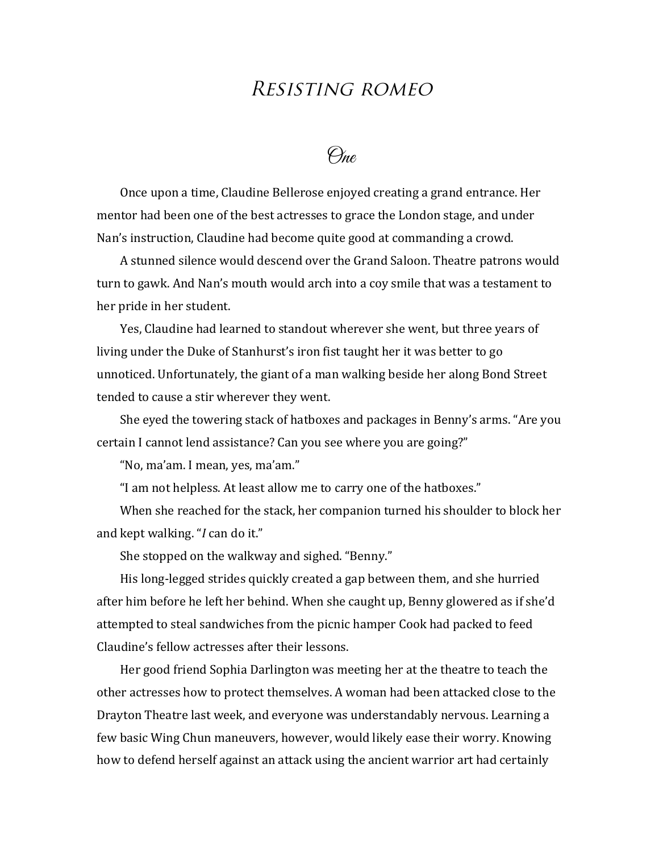## Resisting romeo

 $\Theta_{\text{me}}$ 

Once upon a time, Claudine Bellerose enjoyed creating a grand entrance. Her mentor had been one of the best actresses to grace the London stage, and under Nan's instruction, Claudine had become quite good at commanding a crowd.

A stunned silence would descend over the Grand Saloon. Theatre patrons would turn to gawk. And Nan's mouth would arch into a coy smile that was a testament to her pride in her student.

Yes, Claudine had learned to standout wherever she went, but three years of living under the Duke of Stanhurst's iron fist taught her it was better to go unnoticed. Unfortunately, the giant of a man walking beside her along Bond Street tended to cause a stir wherever they went.

She eyed the towering stack of hatboxes and packages in Benny's arms. "Are you certain I cannot lend assistance? Can you see where you are going?"

"No, ma'am. I mean, yes, ma'am."

"I am not helpless. At least allow me to carry one of the hatboxes."

When she reached for the stack, her companion turned his shoulder to block her and kept walking. "*I* can do it."

She stopped on the walkway and sighed. "Benny."

His long-legged strides quickly created a gap between them, and she hurried after him before he left her behind. When she caught up, Benny glowered as if she'd attempted to steal sandwiches from the picnic hamper Cook had packed to feed Claudine's fellow actresses after their lessons.

Her good friend Sophia Darlington was meeting her at the theatre to teach the other actresses how to protect themselves. A woman had been attacked close to the Drayton Theatre last week, and everyone was understandably nervous. Learning a few basic Wing Chun maneuvers, however, would likely ease their worry. Knowing how to defend herself against an attack using the ancient warrior art had certainly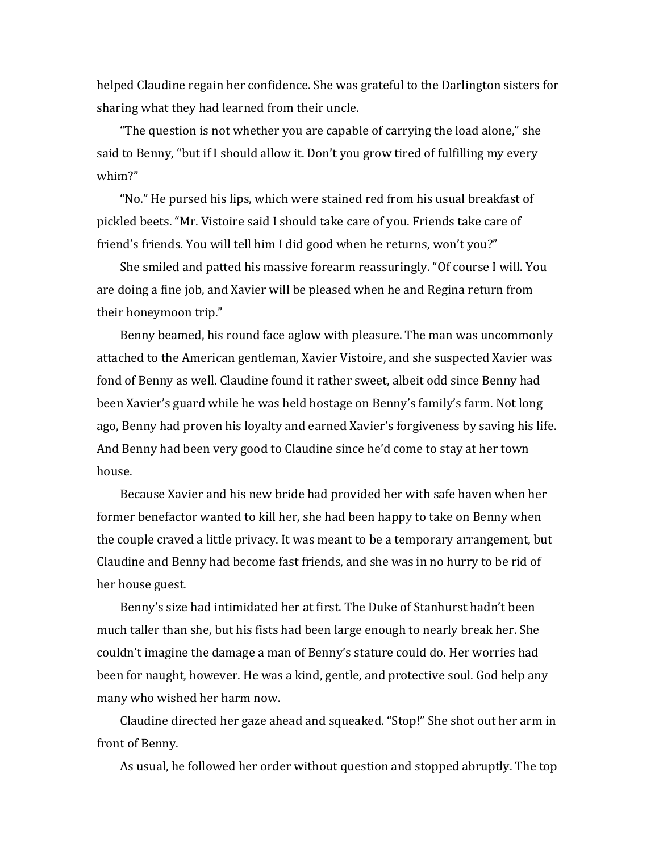helped Claudine regain her confidence. She was grateful to the Darlington sisters for sharing what they had learned from their uncle.

"The question is not whether you are capable of carrying the load alone," she said to Benny, "but if I should allow it. Don't you grow tired of fulfilling my every whim?" 

"No." He pursed his lips, which were stained red from his usual breakfast of pickled beets. "Mr. Vistoire said I should take care of you. Friends take care of friend's friends. You will tell him I did good when he returns, won't you?"

She smiled and patted his massive forearm reassuringly. "Of course I will. You are doing a fine job, and Xavier will be pleased when he and Regina return from their honeymoon trip."

Benny beamed, his round face aglow with pleasure. The man was uncommonly attached to the American gentleman, Xavier Vistoire, and she suspected Xavier was fond of Benny as well. Claudine found it rather sweet, albeit odd since Benny had been Xavier's guard while he was held hostage on Benny's family's farm. Not long ago, Benny had proven his loyalty and earned Xavier's forgiveness by saving his life. And Benny had been very good to Claudine since he'd come to stay at her town house. 

Because Xavier and his new bride had provided her with safe haven when her former benefactor wanted to kill her, she had been happy to take on Benny when the couple craved a little privacy. It was meant to be a temporary arrangement, but Claudine and Benny had become fast friends, and she was in no hurry to be rid of her house guest.

Benny's size had intimidated her at first. The Duke of Stanhurst hadn't been much taller than she, but his fists had been large enough to nearly break her. She couldn't imagine the damage a man of Benny's stature could do. Her worries had been for naught, however. He was a kind, gentle, and protective soul. God help any many who wished her harm now.

Claudine directed her gaze ahead and squeaked. "Stop!" She shot out her arm in front of Benny.

As usual, he followed her order without question and stopped abruptly. The top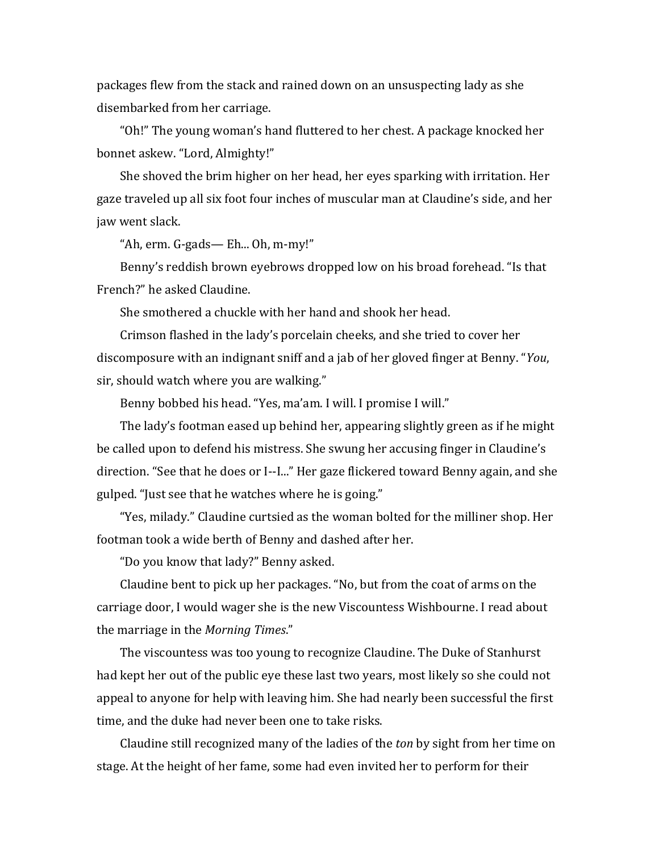packages flew from the stack and rained down on an unsuspecting lady as she disembarked from her carriage.

"Oh!" The young woman's hand fluttered to her chest. A package knocked her bonnet askew. "Lord, Almighty!"

She shoved the brim higher on her head, her eyes sparking with irritation. Her gaze traveled up all six foot four inches of muscular man at Claudine's side, and her jaw went slack.

"Ah,  $erm. G-gads$ — Eh... Oh,  $m-my$ !"

Benny's reddish brown eyebrows dropped low on his broad forehead. "Is that French?" he asked Claudine.

She smothered a chuckle with her hand and shook her head.

Crimson flashed in the lady's porcelain cheeks, and she tried to cover her discomposure with an indignant sniff and a jab of her gloved finger at Benny. "*You*, sir, should watch where you are walking."

Benny bobbed his head. "Yes, ma'am. I will. I promise I will."

The lady's footman eased up behind her, appearing slightly green as if he might be called upon to defend his mistress. She swung her accusing finger in Claudine's direction. "See that he does or I--I..." Her gaze flickered toward Benny again, and she gulped. "Just see that he watches where he is going."

"Yes, milady." Claudine curtsied as the woman bolted for the milliner shop. Her footman took a wide berth of Benny and dashed after her.

"Do you know that lady?" Benny asked.

Claudine bent to pick up her packages. "No, but from the coat of arms on the carriage door, I would wager she is the new Viscountess Wishbourne. I read about the marriage in the Morning Times."

The viscountess was too young to recognize Claudine. The Duke of Stanhurst had kept her out of the public eye these last two years, most likely so she could not appeal to anyone for help with leaving him. She had nearly been successful the first time, and the duke had never been one to take risks.

Claudine still recognized many of the ladies of the *ton* by sight from her time on stage. At the height of her fame, some had even invited her to perform for their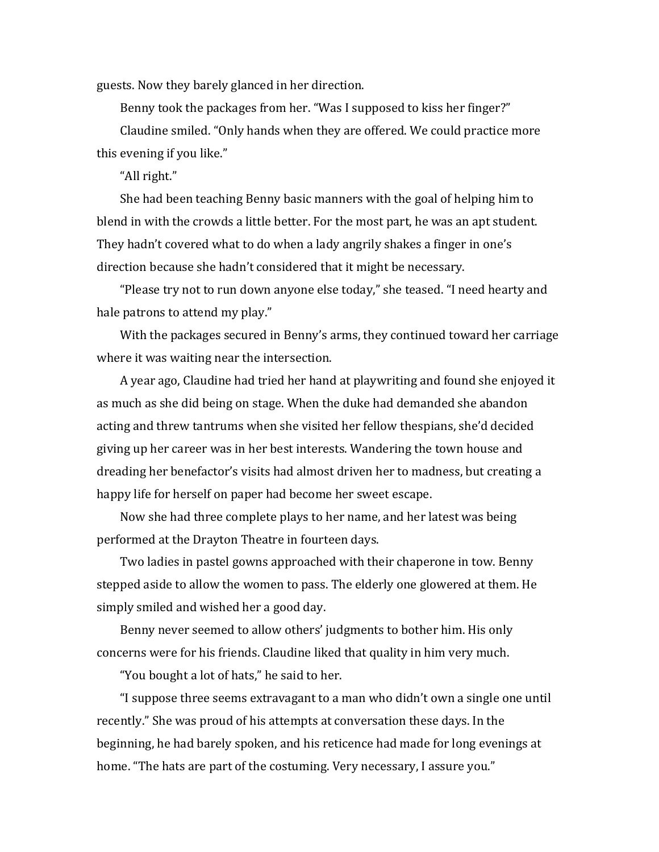guests. Now they barely glanced in her direction.

Benny took the packages from her. "Was I supposed to kiss her finger?" Claudine smiled. "Only hands when they are offered. We could practice more this evening if you like."

"All right."

She had been teaching Benny basic manners with the goal of helping him to blend in with the crowds a little better. For the most part, he was an apt student. They hadn't covered what to do when a lady angrily shakes a finger in one's direction because she hadn't considered that it might be necessary.

"Please try not to run down anyone else today," she teased. "I need hearty and hale patrons to attend my play."

With the packages secured in Benny's arms, they continued toward her carriage where it was waiting near the intersection.

A year ago, Claudine had tried her hand at playwriting and found she enjoyed it as much as she did being on stage. When the duke had demanded she abandon acting and threw tantrums when she visited her fellow thespians, she'd decided giving up her career was in her best interests. Wandering the town house and dreading her benefactor's visits had almost driven her to madness, but creating a happy life for herself on paper had become her sweet escape.

Now she had three complete plays to her name, and her latest was being performed at the Drayton Theatre in fourteen days.

Two ladies in pastel gowns approached with their chaperone in tow. Benny stepped aside to allow the women to pass. The elderly one glowered at them. He simply smiled and wished her a good day.

Benny never seemed to allow others' judgments to bother him. His only concerns were for his friends. Claudine liked that quality in him very much.

"You bought a lot of hats," he said to her.

"I suppose three seems extravagant to a man who didn't own a single one until recently." She was proud of his attempts at conversation these days. In the beginning, he had barely spoken, and his reticence had made for long evenings at home. "The hats are part of the costuming. Very necessary, I assure you."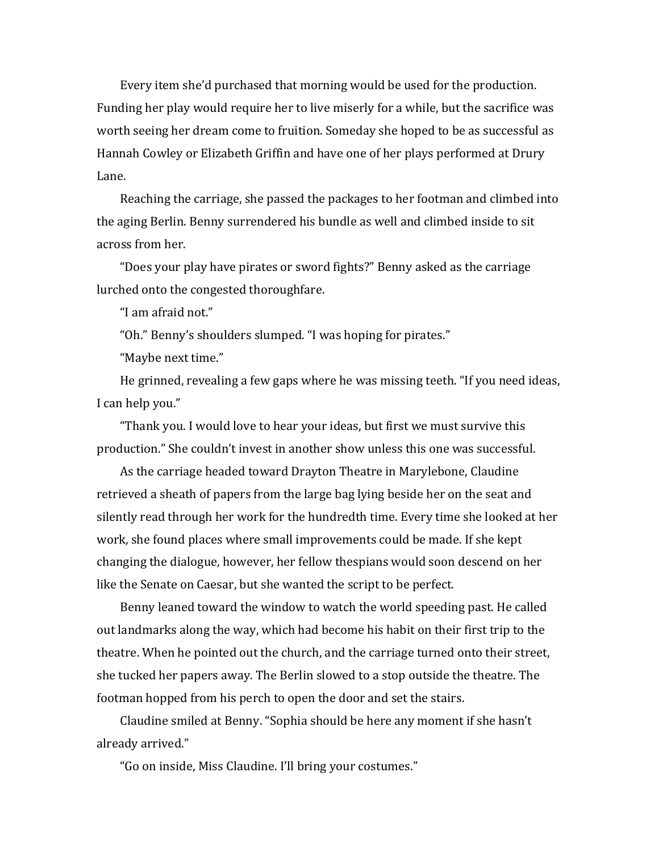Every item she'd purchased that morning would be used for the production. Funding her play would require her to live miserly for a while, but the sacrifice was worth seeing her dream come to fruition. Someday she hoped to be as successful as Hannah Cowley or Elizabeth Griffin and have one of her plays performed at Drury Lane. 

Reaching the carriage, she passed the packages to her footman and climbed into the aging Berlin. Benny surrendered his bundle as well and climbed inside to sit across from her.

"Does your play have pirates or sword fights?" Benny asked as the carriage lurched onto the congested thoroughfare.

"I am afraid not."

"Oh." Benny's shoulders slumped. "I was hoping for pirates."

"Maybe next time."

He grinned, revealing a few gaps where he was missing teeth. "If you need ideas, I can help you."

"Thank you. I would love to hear your ideas, but first we must survive this production." She couldn't invest in another show unless this one was successful.

As the carriage headed toward Drayton Theatre in Marylebone, Claudine retrieved a sheath of papers from the large bag lying beside her on the seat and silently read through her work for the hundredth time. Every time she looked at her work, she found places where small improvements could be made. If she kept changing the dialogue, however, her fellow thespians would soon descend on her like the Senate on Caesar, but she wanted the script to be perfect.

Benny leaned toward the window to watch the world speeding past. He called out landmarks along the way, which had become his habit on their first trip to the theatre. When he pointed out the church, and the carriage turned onto their street, she tucked her papers away. The Berlin slowed to a stop outside the theatre. The footman hopped from his perch to open the door and set the stairs.

Claudine smiled at Benny. "Sophia should be here any moment if she hasn't already arrived."

"Go on inside, Miss Claudine. I'll bring your costumes."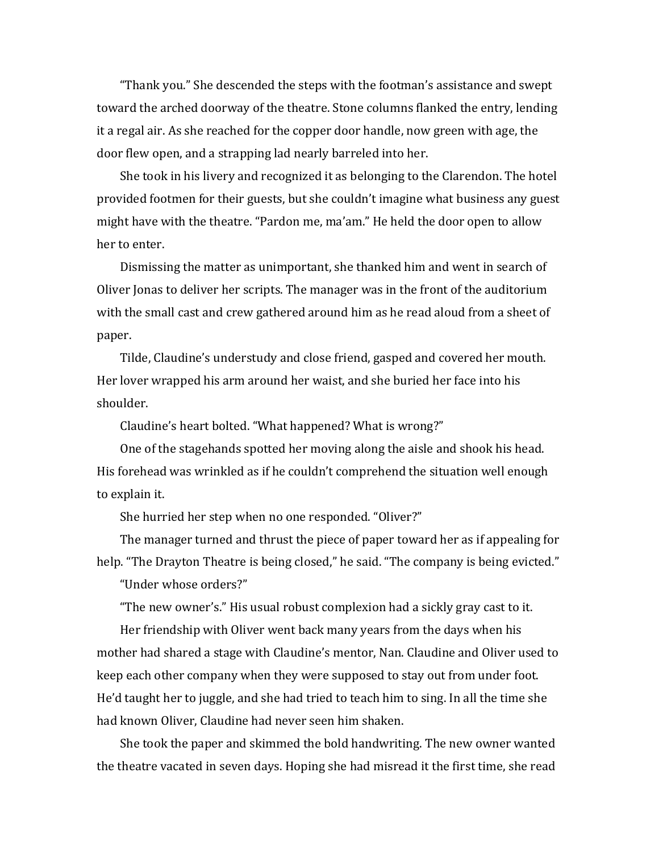"Thank you." She descended the steps with the footman's assistance and swept toward the arched doorway of the theatre. Stone columns flanked the entry, lending it a regal air. As she reached for the copper door handle, now green with age, the door flew open, and a strapping lad nearly barreled into her.

She took in his livery and recognized it as belonging to the Clarendon. The hotel provided footmen for their guests, but she couldn't imagine what business any guest might have with the theatre. "Pardon me, ma'am." He held the door open to allow her to enter.

Dismissing the matter as unimportant, she thanked him and went in search of Oliver Jonas to deliver her scripts. The manager was in the front of the auditorium with the small cast and crew gathered around him as he read aloud from a sheet of paper.

Tilde, Claudine's understudy and close friend, gasped and covered her mouth. Her lover wrapped his arm around her waist, and she buried her face into his shoulder.

Claudine's heart bolted. "What happened? What is wrong?"

One of the stagehands spotted her moving along the aisle and shook his head. His forehead was wrinkled as if he couldn't comprehend the situation well enough to explain it.

She hurried her step when no one responded. "Oliver?"

The manager turned and thrust the piece of paper toward her as if appealing for help. "The Drayton Theatre is being closed," he said. "The company is being evicted."

"Under whose orders?"

"The new owner's." His usual robust complexion had a sickly gray cast to it.

Her friendship with Oliver went back many years from the days when his mother had shared a stage with Claudine's mentor, Nan. Claudine and Oliver used to keep each other company when they were supposed to stay out from under foot. He'd taught her to juggle, and she had tried to teach him to sing. In all the time she had known Oliver, Claudine had never seen him shaken.

She took the paper and skimmed the bold handwriting. The new owner wanted the theatre vacated in seven days. Hoping she had misread it the first time, she read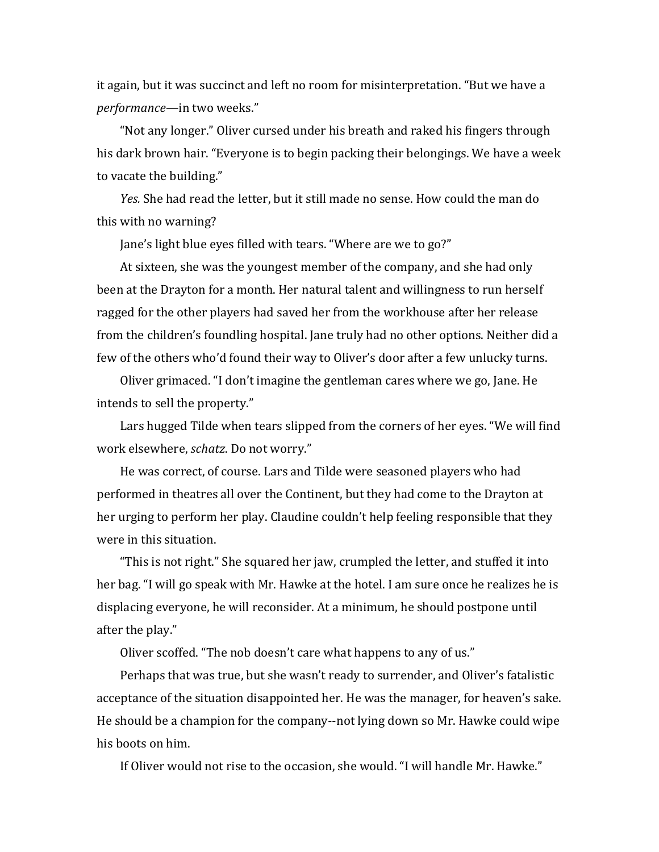it again, but it was succinct and left no room for misinterpretation. "But we have a *performance*—in two weeks."

"Not any longer." Oliver cursed under his breath and raked his fingers through his dark brown hair. "Everyone is to begin packing their belongings. We have a week to vacate the building."

*Yes.* She had read the letter, but it still made no sense. How could the man do this with no warning?

Jane's light blue eyes filled with tears. "Where are we to go?"

At sixteen, she was the youngest member of the company, and she had only been at the Drayton for a month. Her natural talent and willingness to run herself ragged for the other players had saved her from the workhouse after her release from the children's foundling hospital. [ane truly had no other options. Neither did a few of the others who'd found their way to Oliver's door after a few unlucky turns.

Oliver grimaced. "I don't imagine the gentleman cares where we go, Jane. He intends to sell the property."

Lars hugged Tilde when tears slipped from the corners of her eyes. "We will find work elsewhere, *schatz*. Do not worry."

He was correct, of course. Lars and Tilde were seasoned players who had performed in theatres all over the Continent, but they had come to the Drayton at her urging to perform her play. Claudine couldn't help feeling responsible that they were in this situation.

"This is not right." She squared her jaw, crumpled the letter, and stuffed it into her bag. "I will go speak with Mr. Hawke at the hotel. I am sure once he realizes he is displacing everyone, he will reconsider. At a minimum, he should postpone until after the play."

Oliver scoffed. "The nob doesn't care what happens to any of us."

Perhaps that was true, but she wasn't ready to surrender, and Oliver's fatalistic acceptance of the situation disappointed her. He was the manager, for heaven's sake. He should be a champion for the company--not lying down so Mr. Hawke could wipe his boots on him.

If Oliver would not rise to the occasion, she would. "I will handle Mr. Hawke."